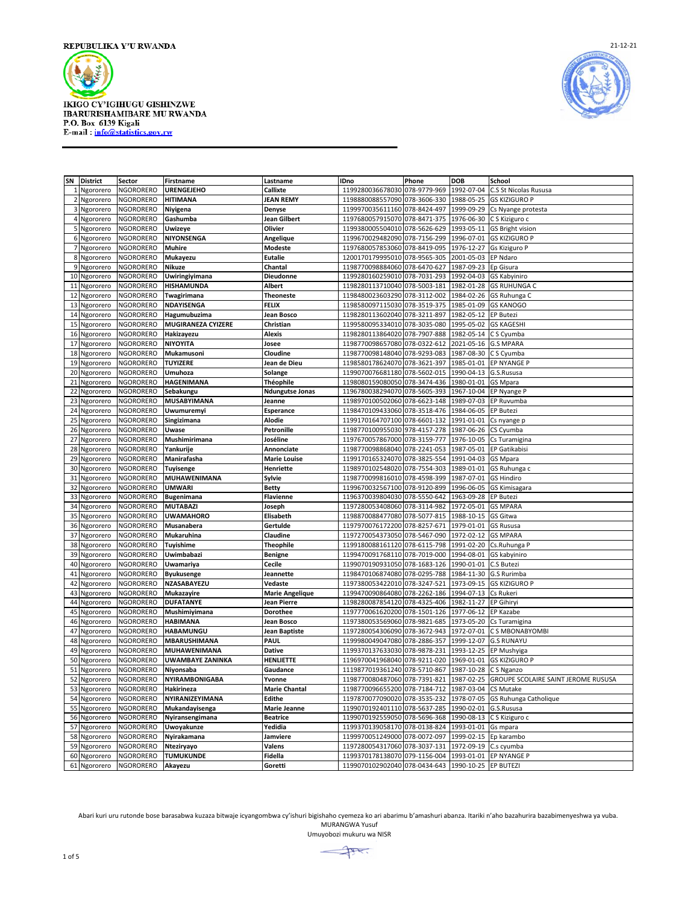



|    | SN District  | Sector           | Firstname                 | Lastname               | IDno                          | Phone        | <b>DOB</b>           | <b>School</b>                       |
|----|--------------|------------------|---------------------------|------------------------|-------------------------------|--------------|----------------------|-------------------------------------|
|    |              | NGORORERO        | <b>URENGEJEHO</b>         |                        |                               | 078-9779-969 | 1992-07-04           |                                     |
|    | 1 Ngororero  |                  |                           | Callixte               | 1199280036678030              |              |                      | C.S St Nicolas Rususa               |
|    | 2 Ngororero  | <b>NGORORERO</b> | <b>HITIMANA</b>           | <b>JEAN REMY</b>       | 1198880088557090              | 078-3606-330 | 1988-05-25           | <b>GS KIZIGURO P</b>                |
|    | 3 Ngororero  | <b>NGORORERO</b> | Niyigena                  | Denyse                 | 1199970035611160 078-8424-497 |              | 1999-09-29           | Cs Nyange protesta                  |
| 4  | Ngororero    | NGORORERO        | Gashumba                  | Jean Gilbert           | 1197680057915070              | 078-8471-375 | 1976-06-30           | C S Kiziguro c                      |
|    | 5 Ngororero  | NGORORERO        | <b>Uwizeye</b>            | Olivier                | 1199380005504010              | 078-5626-629 | 1993-05-11           | <b>GS Bright vision</b>             |
|    | 6 Ngororero  | NGORORERO        | NIYONSENGA                | Angelique              | 1199670029482090              | 078-7156-299 | 1996-07-01           | <b>GS KIZIGURO P</b>                |
|    | 7 Ngororero  | <b>NGORORERO</b> | <b>Muhire</b>             | <b>Modeste</b>         | 1197680057853060              | 078-8419-095 | 1976-12-27           | <b>Gs Kiziguro P</b>                |
|    | 8 Ngororero  | NGORORERO        | Mukayezu                  | <b>Eutalie</b>         | 1200170179995010              | 078-9565-305 | 2001-05-03           | <b>EP Ndaro</b>                     |
| 9  | Ngororero    | NGORORERO        | Nikuze                    | Chantal                | 1198770098884060              | 078-6470-627 | 1987-09-23           | Ep Gisura                           |
|    | 10 Ngororero | NGORORERO        | Uwiringiyimana            | <b>Dieudonne</b>       | 1199280160259010              | 078-7031-293 | 1992-04-03           | <b>GS Kabyiniro</b>                 |
|    | 11 Ngororero | <b>NGORORERO</b> | HISHAMUNDA                | Albert                 | 1198280113710040              | 078-5003-181 | 1982-01-28           | <b>GS RUHUNGA C</b>                 |
|    | 12 Ngororero | <b>NGORORERO</b> | Twagirimana               | <b>Theoneste</b>       | 1198480023603290              | 078-3112-002 | 1984-02-26           | GS Ruhunga C                        |
| 13 | Ngororero    | <b>NGORORERO</b> | <b>NDAYISENGA</b>         | <b>FELIX</b>           | 1198580097115030              | 078-3519-375 | 1985-01-09           | <b>GS KANOGO</b>                    |
| 14 | Ngororero    | NGORORERO        | Hagumubuzima              | Jean Bosco             | 1198280113602040              | 078-3211-897 | 1982-05-12           | <b>EP Butez</b>                     |
|    | 15 Ngororero | NGORORERO        | <b>MUGIRANEZA CYIZERE</b> | Christian              | 1199580095334010              | 078-3035-080 | 1995-05-02           | <b>GS KAGESHI</b>                   |
|    |              | <b>NGORORERO</b> | Hakizayezu                | <b>Alexis</b>          | 1198280113864020              | 078-7907-888 | 1982-05-14           | C S Cyumba                          |
|    | 16 Ngororero |                  |                           |                        |                               |              |                      |                                     |
| 17 | Ngororero    | NGORORERO        | <b>NIYOYITA</b>           | Josee                  | 1198770098657080              | 078-0322-612 | 2021-05-16           | <b>G.S MPARA</b>                    |
| 18 | Ngororero    | <b>NGORORERO</b> | Mukamusoni                | Cloudine               | 1198770098148040              | 078-9293-083 | 1987-08-30           | C S Cyumba                          |
| 19 | Ngororero    | NGORORERO        | <b>TUYIZERE</b>           | Jean de Dieu           | 1198580178624070              | 078-3621-397 | 1985-01-01           | EP NYANGE I                         |
|    | 20 Ngororero | <b>NGORORERO</b> | Umuhoza                   | Solange                | 1199070076681180              | 078-5602-015 | 1990-04-13           | G.S.Rususa                          |
| 21 | Ngororero    | <b>NGORORERO</b> | HAGENIMANA                | Théophile              | 1198080159080050              | 078-3474-436 | 1980-01-01           | <b>GS Mpara</b>                     |
| 22 | Ngororero    | NGORORERO        | Sebakungu                 | <b>Ndungutse Jonas</b> | 1196780038294070              | 078-5605-393 | 1967-10-04           | EP Nyange P                         |
| 23 | Ngororero    | <b>NGORORERO</b> | <b>MUSABYIMANA</b>        | Jeanne                 | 1198970100502060              | 078-6623-148 | 1989-07-03           | EP Ruvumba                          |
| 24 | Ngororero    | NGORORERO        | Uwumuremy                 | Esperance              | 1198470109433060              | 078-3518-476 | 1984-06-05           | <b>EP Butez</b>                     |
|    | 25 Ngororero | NGORORERO        | Singizimana               | <b>Alodie</b>          | 1199170164707100              | 078-6601-132 | 1991-01-01           | Cs nyange p                         |
|    | 26 Ngororero | <b>NGORORERO</b> | Uwase                     | Petronille             | 1198770100955030              | 978-4157-278 | 1987-06-26           | CS Cyumba                           |
| 27 | Ngororero    | NGORORERO        | Mushimirimana             | Joséline               | 1197670057867000              | 078-3159-777 | 1976-10-05           | Cs Turamigina                       |
| 28 | Ngororero    | <b>NGORORERO</b> | Yankurije                 | Annonciate             | 1198770098868040              | 078-2241-053 | 1987-05-01           | <b>EP Gatikabisi</b>                |
| 29 | Ngororero    | NGORORERO        | Manirafasha               | <b>Marie Louise</b>    | 1199170165324070              | 078-3825-554 | 1991-04-03           | GS Mpara                            |
|    | 30 Ngororero | NGORORERO        | <b>Tuyisenge</b>          | Henriette              | 1198970102548020              | 078-7554-303 | 1989-01-01           | GS Ruhunga c                        |
| 31 |              | NGORORERO        | MUHAWENIMANA              | Sylvie                 | 1198770099816010              | 078-4598-399 | 1987-07-01           | <b>GS Hindiro</b>                   |
|    | Ngororero    |                  |                           |                        |                               |              |                      |                                     |
| 32 | Ngororero    | <b>NGORORERO</b> | <b>UMWARI</b>             | <b>Betty</b>           | 1199670032567100              | 078-9120-899 | 1996-06-05           | <b>GS Kimisagara</b>                |
| 33 | Ngororero    | <b>NGORORERO</b> | <b>Bugenimana</b>         | Flavienne              | 1196370039804030              | 078-5550-642 | 1963-09-28           | <b>EP Butezi</b>                    |
| 34 | Ngororero    | NGORORERO        | <b>MUTABAZI</b>           | Joseph                 | 1197280053408060              | 078-3114-982 | 1972-05-01           | GS MPARA                            |
|    | 35 Ngororero | <b>NGORORERO</b> | <b>UWAMAHORO</b>          | Elisabeth              | 1198870088477080              | 078-5077-815 | 1988-10-15           | <b>GS Gitwa</b>                     |
| 36 | Ngororero    | NGORORERO        | Musanabera                | Gertulde               | 1197970076172200              | 078-8257-671 | 1979-01-01           | <b>GS Rususa</b>                    |
| 37 | Ngororero    | <b>NGORORERO</b> | Mukaruhina                | Claudine               | 1197270054373050              | 078-5467-090 | 1972-02-12           | <b>GS MPARA</b>                     |
| 38 | Ngororero    | NGORORERO        | Tuyishime                 | Theophile              | 1199180088161120              | 078-6115-798 | 1991-02-20           | Cs.Ruhunga P                        |
| 39 | Ngororero    | NGORORERO        | Uwimbabazi                | Benigne                | 1199470091768110              | 078-7019-000 | 1994-08-01           | GS kabyiniro                        |
|    | 40 Ngororero | NGORORERO        | Uwamariya                 | Cecile                 | 1199070190931050              | 078-1683-126 | 1990-01-01           | C.S Butezi                          |
| 41 | Ngororero    | NGORORERO        | <b>Byukusenge</b>         | Jeannette              | 1198470106874080              | 078-0295-788 | 1984-11-30           | G.S Rurimba                         |
| 42 | Ngororero    | NGORORERO        | NZASABAYEZU               | Vedaste                | 1197380053422010              | 078-3247-521 | 1973-09-15           | <b>GS KIZIGURO P</b>                |
| 43 | Ngororero    | <b>NGORORERO</b> | Mukazayire                | <b>Marie Angelique</b> | 1199470090864080              | 078-2262-186 | 1994-07-13           | Cs Rukeri                           |
| 44 | Ngororero    | NGORORERO        | <b>DUFATANYE</b>          | Jean Pierre            | 1198280087854120              | 078-4325-406 | 1982-11-27           | <b>EP Gihiry</b>                    |
|    | 45 Ngororero | NGORORERO        | Mushimiyimana             | Dorothee               | 1197770061620200              | 078-1501-126 | 1977-06-12           | <b>EP Kazabe</b>                    |
| 46 | Ngororero    | NGORORERO        | <b>HABIMANA</b>           | Jean Bosco             | 1197380053569060              | 078-9821-685 | 1973-05-20           | Cs Turamigina                       |
| 47 | Ngororero    | <b>NGORORERO</b> | <b>HABAMUNGU</b>          | Jean Baptiste          | 1197280054306090              | 078-3672-943 | 1972-07-01           | C S MBONABYOMBI                     |
| 48 | Ngororero    | <b>NGORORERO</b> | <b>MBARUSHIMANA</b>       | PAUL                   | 1199980049047080              | 078-2886-357 | 1999-12-07           | <b>G.S RUNAYU</b>                   |
|    |              |                  |                           |                        |                               |              |                      |                                     |
| 49 | Ngororero    | NGORORERO        | MUHAWENIMANA              | Dative                 | 1199370137633030              | 078-9878-231 | 1993-12-25           | EP Mushyiga                         |
|    | 50 Ngororero | NGORORERO        | <b>UWAMBAYE ZANINKA</b>   | <b>HENLIETTE</b>       | 1196970041968040              | 078-9211-020 | 1969-01-01           | <b>GS KIZIGURO P</b>                |
| 51 | Ngororero    | NGORORERO        | Niyonsaba                 | Gaudance               | 1119877019361240              | 078-5710-867 | 1987-10-28           | C S Nganzo                          |
|    | 52 Ngororero | <b>NGORORERO</b> | NYIRAMBONIGABA            | Yvonne                 | 1198770080487060              | 078-7391-821 | 1987-02-25           | GROUPE SCOLAIRE SAINT JEROME RUSUSA |
|    | 53 Ngororero | <b>NGORORERO</b> | Hakirineza                | <b>Marie Chantal</b>   | 1198770096655200              | 078-7184-712 | 1987-03-04           | CS Mutake                           |
| 54 | Ngororero    | NGORORERO        | NYIRANIZEYIMANA           | Edithe                 | 1197870077090020              | 078-3535-232 | 1978-07-05           | GS Ruhunga Catholique               |
|    | 55 Ngororero | NGORORERO        | Mukandayisenga            | <b>Marie Jeanne</b>    | 1199070192401110              | 078-5637-285 | 1990-02-01           | G.S.Rususa                          |
| 56 | Ngororero    | NGORORERO        | Nyiransengimana           | <b>Beatrice</b>        | 1199070192559050              | 078-5696-368 | 1990-08-13           | C S Kiziguro c                      |
|    | 57 Ngororero | <b>NGORORERO</b> | Uwoyakunze                | Yedidia                | 1199370139058170              | 078-0138-824 | 1993-01-01           | Gs mpara                            |
|    | 58 Ngororero | <b>NGORORERO</b> | Nyirakamana               | Jamviere               | 1199970051249000              | 078-0072-097 | 1999-02-15           | Ep karambo                          |
| 59 | Ngororero    | NGORORERO        | Nteziryayo                | Valens                 | 1197280054317060              | 078-3037-131 | 1972-09-19           | C.s cyumba                          |
|    | 60 Ngororero | NGORORERO        | <b>TUMUKUNDE</b>          | Fidella                | 1199370178138070 079-1156-004 |              |                      | 1993-01-01 EP NYANGE P              |
|    | 61 Ngororero | NGORORERO        | Akayezu                   | Goretti                | 1199070102902040 078-0434-643 |              | 1990-10-25 EP BUTEZI |                                     |

Abari kuri uru rutonde bose barasabwa kuzaza bitwaje icyangombwa cy'ishuri bigishaho cyemeza ko ari abarimu b'amashuri abanza. Itariki n'aho bazahurira bazabimenyeshwa ya vuba. MURANGWA Yusuf

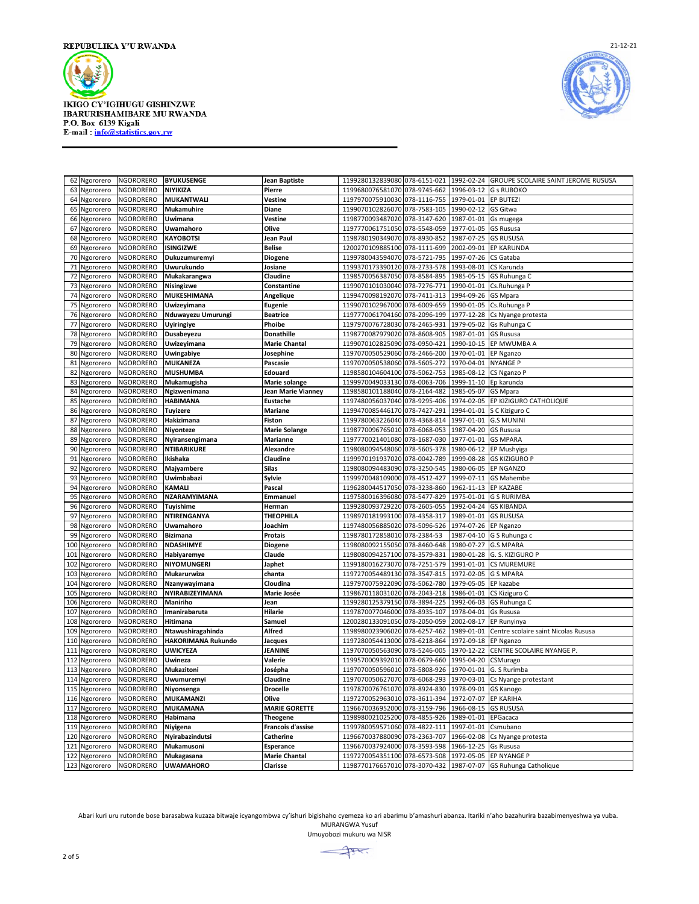



| 62  | Ngororero     | <b>NGORORERO</b> | <b>BYUKUSENGE</b>         | <b>Jean Baptiste</b>      | 1199280132839080              | 078-6151-021 | 1992-02-24 | GROUPE SCOLAIRE SAINT JEROME RUSUSA                            |
|-----|---------------|------------------|---------------------------|---------------------------|-------------------------------|--------------|------------|----------------------------------------------------------------|
| 63  | Ngororero     | <b>NGORORERO</b> | NIYIKIZA                  | Pierre                    | 1199680076581070 078-9745-662 |              | 1996-03-12 | <b>G s RUBOKO</b>                                              |
| 64  | Ngororero     | NGORORERO        | <b>MUKANTWALI</b>         | Vestine                   | 1197970075910030              | 078-1116-755 | 1979-01-01 | <b>EP BUTEZI</b>                                               |
| 65  | Ngororero     | NGORORERO        | <b>Mukamuhire</b>         | Diane                     | 1199070102826070 078-7583-105 |              | 1990-02-12 | <b>GS Gitwa</b>                                                |
| 66  | Ngororero     | NGORORERO        | Uwimana                   | Vestine                   | 1198770093487020 078-3147-620 |              | 1987-01-01 | Gs mugega                                                      |
| 67  | Ngororero     | <b>NGORORERO</b> | Uwamahoro                 | Olive                     | 1197770061751050              | 078-5548-059 | 1977-01-05 | <b>GS Rususa</b>                                               |
| 68  | Ngororero     | NGORORERO        | <b>KAYOBOTSI</b>          | Jean Paul                 | 1198780190349070 078-8930-852 |              | 1987-07-25 | <b>GS RUSUSA</b>                                               |
|     |               |                  |                           |                           |                               |              |            |                                                                |
| 69  | Ngororero     | NGORORERO        | <b>ISINGIZWE</b>          | <b>Belise</b>             | 1200270109885100              | 078-1111-699 | 2002-09-01 | EP KARUNDA                                                     |
|     | 70 Ngororero  | NGORORERO        | Dukuzumuremyi             | Diogene                   | 1199780043594070              | 078-5721-795 | 1997-07-26 | CS Gataba                                                      |
| 71  | Ngororero     | NGORORERO        | Uwurukundo                | Josiane                   | 1199370173390120 078-2733-578 |              | 1993-08-01 | CS Karunda                                                     |
| 72  | Ngororero     | NGORORERO        | Mukakarangwa              | <b>Claudine</b>           | 1198570056387050              | 078-8584-895 | 1985-05-15 | GS Ruhunga C                                                   |
| 73  | Ngororero     | NGORORERO        | Nisingizwe                | Constantine               | 1199070101030040              | 078-7276-771 | 1990-01-01 | Cs.Ruhunga P                                                   |
| 74  | Ngororero     | NGORORERO        | MUKESHIMANA               | Angelique                 | 1199470098192070              | 078-7411-313 | 1994-09-26 | <b>GS Mpara</b>                                                |
| 75  | Ngororero     | NGORORERO        | Uwizeyimana               | Eugenie                   | 1199070102967000 078-6009-659 |              | 1990-01-05 | Cs.Ruhunga P                                                   |
| 76  | Ngororero     | NGORORERO        | Nduwayezu Umurungi        | <b>Beatrice</b>           | 1197770061704160              | 078-2096-199 | 1977-12-28 | Cs Nyange protesta                                             |
| 77  | Ngororero     | <b>NGORORERO</b> | <b>Uyiringiye</b>         | Phoibe                    | 1197970076728030              | 078-2465-931 | 1979-05-02 | Gs Ruhunga C                                                   |
| 78  | Ngororero     | <b>NGORORERO</b> | Dusabeyezu                | <b>Donathille</b>         | 1198770087979020              | 078-8608-905 | 1987-01-01 | <b>GS Rususa</b>                                               |
| 79  |               | <b>NGORORERO</b> | Uwizeyimana               | <b>Marie Chantal</b>      | 1199070102825090              | 078-0950-421 | 1990-10-15 | EP MWUMBA A                                                    |
|     | Ngororero     |                  |                           |                           |                               |              |            |                                                                |
| 80  | Ngororero     | NGORORERO        | <b>Uwingabiye</b>         | Josephine                 | 1197070050529060 078-2466-200 |              | 1970-01-01 | EP Nganzo                                                      |
| 81  | Ngororero     | NGORORERO        | <b>MUKANEZA</b>           | Pascasie                  | 1197070050538060              | 078-5605-272 | 1970-04-01 | <b>NYANGE P</b>                                                |
| 82  | Ngororero     | NGORORERO        | <b>MUSHUMBA</b>           | Edouard                   | 1198580104604100 078-5062-753 |              | 1985-08-12 | CS Nganzo P                                                    |
| 83  | Ngororero     | NGORORERO        | Mukamugisha               | Marie solange             | 1199970049033130 078-0063-706 |              | 1999-11-10 | Ep karunda                                                     |
| 84  | Ngororero     | <b>NGORORERO</b> | Ngizwenimana              | <b>Jean Marie Vianney</b> | 1198580101188040              | 078-2164-482 | 1985-05-07 | <b>GS Mpara</b>                                                |
| 85  | Ngororero     | NGORORERO        | <b>HABIMANA</b>           | Eustache                  | 1197480056037040 078-9295-406 |              | 1974-02-05 | EP KIZIGURO CATHOLIQUE                                         |
| 86  | Ngororero     | NGORORERO        | <b>Tuyizere</b>           | <b>Mariane</b>            | 1199470085446170              | 078-7427-291 | 1994-01-01 | S C Kiziguro C                                                 |
| 87  | Ngororero     | <b>NGORORERO</b> | Hakizimana                | Fiston                    | 1199780063226040              | 078-4368-814 | 1997-01-01 | <b>G.S MUNINI</b>                                              |
| 88  | Ngororero     | NGORORERO        | Niyonteze                 | <b>Marie Solange</b>      | 1198770096765010              | 078-6068-053 | 1987-04-20 | <b>GS Rususa</b>                                               |
| 89  | Ngororero     | NGORORERO        | Nyiransengimana           | <b>Marianne</b>           | 1197770021401080              | 078-1687-030 | 1977-01-01 | <b>GS MPARA</b>                                                |
| 90  | Ngororero     | NGORORERO        | <b>NTIBARIKURE</b>        | Alexandre                 | 1198080094548060              | 078-5605-378 | 1980-06-12 | EP Mushyiga                                                    |
| 91  | Ngororero     | NGORORERO        | Ikishaka                  | Claudine                  | 1199970191937020              | 078-0042-789 | 1999-08-28 | <b>GS KIZIGURO P</b>                                           |
| 92  | Ngororero     | <b>NGORORERO</b> | Majyambere                | Silas                     | 1198080094483090              | 078-3250-545 | 1980-06-05 | <b>EP NGANZC</b>                                               |
| 93  | Ngororero     | NGORORERO        | Uwimbabazi                | Sylvie                    | 1199970048109000              | 078-4512-427 | 1999-07-11 | <b>GS Mahembe</b>                                              |
| 94  | Ngororero     | <b>NGORORERO</b> | <b>KAMALI</b>             | Pascal                    | 1196280044517050              | 078-3238-860 | 1962-11-13 | <b>EP KAZABE</b>                                               |
| 95  | Ngororero     | <b>NGORORERO</b> | NZARAMYIMANA              | Emmanuel                  | 1197580016396080              | 078-5477-829 | 1975-01-01 | <b>G S RURIMBA</b>                                             |
| 96  | Ngororero     | NGORORERO        | Tuyishime                 | Herman                    | 1199280093729220              | 078-2605-055 | 1992-04-24 | <b>GS KIBANDA</b>                                              |
| 97  |               | <b>NGORORERO</b> | NTIRENGANYA               | <b>THEOPHILA</b>          | 1198970181993100 078-4358-317 |              | 1989-01-01 | <b>GS RUSUSA</b>                                               |
|     | Ngororero     |                  |                           |                           |                               |              |            |                                                                |
| 98  | Ngororero     | NGORORERO        | Uwamahoro                 | Joachim                   | 1197480056885020              | 078-5096-526 | 1974-07-26 | EP Nganzo                                                      |
| 99  | Ngororero     | NGORORERO        | <b>Bizimana</b>           | Protais                   | 1198780172858010              | 078-2384-53  | 1987-04-10 | G S Ruhunga c                                                  |
| 100 | Ngororero     | NGORORERO        | NDASHIMYE                 | Diogene                   | 1198080092155050              | 078-8460-648 | 1980-07-27 | <b>G.S MPARA</b>                                               |
| 101 | Ngororero     | NGORORERO        | Habiyaremye               | Claude                    | 1198080094257100              | 078-3579-831 | 1980-01-28 | G. S. KIZIGURO P                                               |
| 102 | Ngororero     | NGORORERO        | NIYOMUNGERI               | Japhet                    | 1199180016273070 078-7251-579 |              | 1991-01-01 | <b>CS MUREMURE</b>                                             |
| 103 | Ngororero     | <b>NGORORERO</b> | Mukarurwiza               | chanta                    | 1197270054489130              | 078-3547-815 | 1972-02-05 | <b>G S MPARA</b>                                               |
| 104 | Ngororero     | NGORORERO        | Nzanywayimana             | Cloudina                  | 1197970075922090              | 078-5062-780 | 1979-05-05 | EP kazabe                                                      |
| 105 | Ngororero     | NGORORERO        | NYIRABIZEYIMANA           | Marie Josée               | 1198670118031020              | 078-2043-218 | 1986-01-01 | CS Kiziguro C                                                  |
| 106 | Ngororero     | <b>NGORORERO</b> | Maniriho                  | Jean                      | 1199280125379150              | 078-3894-225 | 1992-06-03 | GS Ruhunga C                                                   |
| 107 | Ngororero     | <b>NGORORERO</b> | Imanirabaruta             | Hilarie                   | 1197870077046000 078-8935-107 |              | 1978-04-01 | Gs Rususa                                                      |
| 108 | Ngororero     | NGORORERO        | Hitimana                  | Samue                     | 1200280133091050              | 078-2050-059 | 2002-08-17 | EP Runyinya                                                    |
| 109 | Ngororero     | <b>NGORORERO</b> | Ntawushiragahinda         | <b>Alfred</b>             | 1198980023906020              | 078-6257-462 | 1989-01-01 | Centre scolaire saint Nicolas Rususa                           |
| 110 | Ngororero     | <b>NGORORERO</b> | <b>HAKORIMANA Rukundo</b> | <b>Jacques</b>            | 1197280054413000              | 078-6218-864 | 1972-09-18 | <b>EP Nganzo</b>                                               |
| 111 | Ngororero     | <b>NGORORERO</b> | <b>UWICYEZA</b>           | JEANINE                   | 1197070050563090              | 078-5246-005 | 1970-12-22 | CENTRE SCOLAIRE NYANGE P.                                      |
| 112 | Ngororero     | NGORORERO        | Uwineza                   | Valerie                   | 1199570009392010              | 078-0679-660 | 1995-04-20 | CSMurago                                                       |
| 113 | Ngororero     | NGORORERO        | Mukazitoni                | Josépha                   | 1197070050596010              | 078-5808-926 | 1970-01-01 | G. S Rurimba                                                   |
| 114 | Ngororero     | <b>NGORORERO</b> | <b>Uwumuremyi</b>         | Claudine                  | 1197070050627070              | 078-6068-293 | 1970-03-01 |                                                                |
| 115 | Ngororero     | NGORORERO        |                           | <b>Drocelle</b>           | 1197870076761070              | 078-8924-830 | 1978-09-01 | Cs Nyange protestant<br><b>GS Kanogo</b>                       |
|     |               |                  | Niyonsenga                |                           |                               |              |            |                                                                |
|     | 116 Ngororero | <b>NGORORERO</b> | <b>MUKAMANZI</b>          | Olive                     | 1197270052963010              | 078-3611-394 | 1972-07-07 | <b>EP KARIHA</b>                                               |
| 117 | Ngororero     | <b>NGORORERO</b> | <b>MUKAMANA</b>           | <b>MARIE GORETTE</b>      | 1196670036952000 078-3159-796 |              | 1966-08-15 | <b>GS RUSUSA</b>                                               |
| 118 | Ngororero     | NGORORERO        | Habimana                  | <b>Theogene</b>           | 1198980021025200              | 078-4855-926 | 1989-01-01 | EPGacaca                                                       |
| 119 | Ngororero     | <b>NGORORERO</b> | Niyigena                  | Francois d'assise         | 1199780059571060 078-4822-111 |              | 1997-01-01 | Csmubano                                                       |
|     | 120 Ngororero | NGORORERO        | Nyirabazindutsi           | Catherine                 | 1196670037880090 078-2363-707 |              | 1966-02-08 | Cs Nyange protesta                                             |
| 121 | Ngororero     | NGORORERO        | Mukamusoni                | Esperance                 | 1196670037924000              | 078-3593-598 | 1966-12-25 | Gs Rususa                                                      |
| 122 | Ngororero     | NGORORERO        | Mukagasana                | <b>Marie Chantal</b>      | 1197270054351100 078-6573-508 |              |            | 1972-05-05 EP NYANGE P                                         |
|     | 123 Ngororero | <b>NGORORERO</b> | <b>UWAMAHORO</b>          | Clarisse                  |                               |              |            | 1198770176657010 078-3070-432 1987-07-07 GS Ruhunga Catholique |

Abari kuri uru rutonde bose barasabwa kuzaza bitwaje icyangombwa cy'ishuri bigishaho cyemeza ko ari abarimu b'amashuri abanza. Itariki n'aho bazahurira bazabimenyeshwa ya vuba. MURANGWA Yusuf

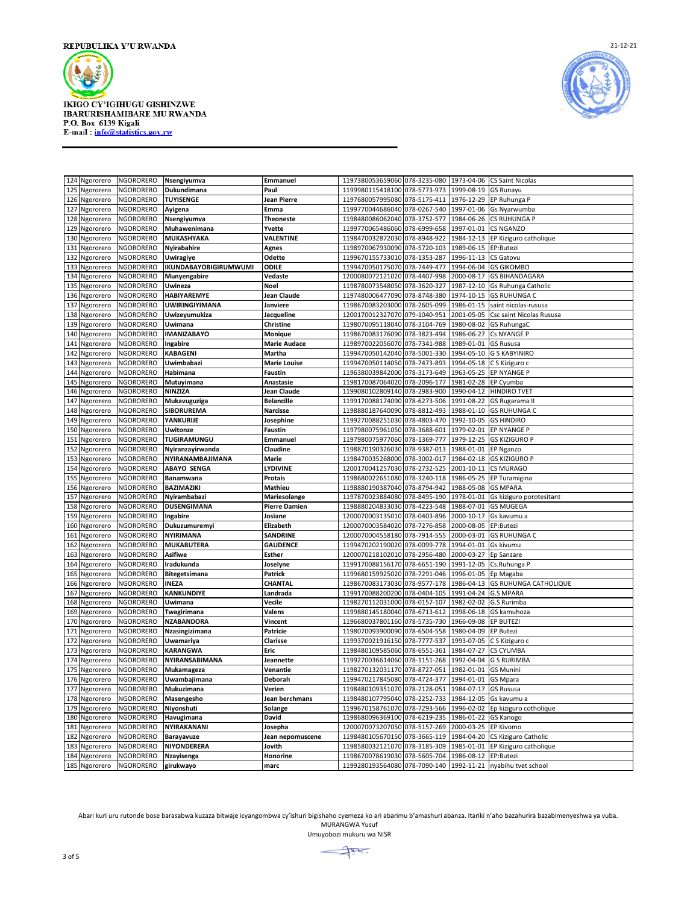



| 124 | Ngororero     | NGORORERO        | Nsengiyumva                  | <b>Emmanuel</b>      | 1197380053659060 078-3235-080                                |              | 1973-04-06           | <b>CS Saint Nicolas</b>           |
|-----|---------------|------------------|------------------------------|----------------------|--------------------------------------------------------------|--------------|----------------------|-----------------------------------|
| 125 | Ngororero     | NGORORERO        | Dukundimana                  | Paul                 | 1199980115418100 078-5773-973                                |              | 1999-08-19           | <b>GS Runayu</b>                  |
| 126 | Ngororero     | NGORORERO        | <b>TUYISENGE</b>             | Jean Pierre          | 1197680057995080 078-5175-411                                |              |                      | 1976-12-29 EP Ruhunga P           |
| 127 | Ngororero     | NGORORERO        | Ayigena                      | Emma                 | 1199770044686040 078-0267-540                                |              |                      | 1997-01-06 Gs Nyarwumba           |
|     | 128 Ngororero | NGORORERO        | Nsengiyumva                  | <b>Theoneste</b>     | 1198480086062040 078-3752-577                                |              |                      | 1984-06-26 CS RUHUNGA P           |
| 129 | Ngororero     | NGORORERO        | Muhawenimana                 | Yvette               | 1199770065486060 078-6999-658                                |              | 1997-01-01           | <b>CS NGANZO</b>                  |
|     | 130 Ngororero | NGORORERO        | <b>MUKASHYAKA</b>            | <b>VALENTINE</b>     | 1198470032872030                                             | 078-8948-922 |                      | 1984-12-13 EP Kiziguro catholique |
| 131 | Ngororero     | <b>NGORORERO</b> | <b>Nyirabahire</b>           | Agnes                | 1198970067930090 078-5720-103                                |              | 1989-06-15           | EP:Butezi                         |
| 132 | Ngororero     | NGORORERO        | Uwiragiye                    | Odette               | 1199670155733010 078-1353-287                                |              | 1996-11-13           | <b>CS Gatovu</b>                  |
| 133 | Ngororero     | NGORORERO        | <b>IKUNDABAYOBIGIRUMWUMI</b> | ODILE                | 1199470050175070 078-7449-477                                |              |                      | 1994-06-04 GS GIKOMBO             |
| 134 | Ngororero     | NGORORERO        | Munyengabire                 | Vedaste              | 1200080072121020                                             | 078-4407-998 | 2000-08-17           | <b>GS BIHANDAGARA</b>             |
| 135 | Ngororero     | <b>NGORORERO</b> | Uwineza                      | <b>Noel</b>          | 1198780073548050                                             | 078-3620-327 |                      | 1987-12-10 Gs Ruhunga Catholic    |
| 136 | Ngororero     | <b>NGORORERO</b> | <b>HABIYAREMYE</b>           | <b>Jean Claude</b>   | 1197480006477090                                             | 078-8748-380 | 1974-10-15           | <b>GS RUHUNGA C</b>               |
| 137 | Ngororero     | <b>NGORORERO</b> | <b>UWIRINGIYIMANA</b>        | Janviere             | 1198670083203000 078-2605-099                                |              | 1986-01-15           | saint nicolas-rususa              |
| 138 | Ngororero     | NGORORERO        | Uwizeyumukiza                | Jacqueline           | 1200170012327070 079-1040-951                                |              | 2001-05-05           | Csc saint Nicolas Rususa          |
| 139 | Ngororero     | NGORORERO        | Uwimana                      | Christine            | 1198070095118040 078-3104-769                                |              | 1980-08-02           | <b>GS RuhungaC</b>                |
|     | 140 Ngororero | NGORORERO        | <b>IMANIZABAYO</b>           | Monique              | 1198670083176090 078-3823-494                                |              | 1986-06-27           | Cs NYANGE P                       |
| 141 | Ngororero     | NGORORERO        | Ingabire                     | <b>Marie Audace</b>  | 1198970022056070 078-7341-988                                |              | 1989-01-01           | <b>GS Rususa</b>                  |
| 142 | Ngororero     | NGORORERO        | <b>KABAGENI</b>              | Martha               | 1199470050142040 078-5001-330                                |              |                      | 1994-05-10 G S KABYINIRO          |
| 143 | Ngororero     | NGORORERO        | Uwimbabazi                   | <b>Marie Louise</b>  | 1199470050114050 078-7473-893                                |              |                      | 1994-05-18 C S Kiziguro c         |
| 144 | Ngororero     | NGORORERO        | Habimana                     | Faustin              | 1196380039842000                                             | 078-3173-649 | 1963-05-25           | <b>EP NYANGE P</b>                |
| 145 | Ngororero     | NGORORERO        | Mutuyimana                   | Anastasie            | 1198170087064020 078-2096-177                                |              | 1981-02-28 EP Cyumba |                                   |
| 146 | Ngororero     | NGORORERO        | <b>NINZIZA</b>               | Jean Claude          | 1199080102809140 078-2983-900                                |              | 1990-04-12           | <b>HINDIRO TVET</b>               |
| 147 | Ngororero     | <b>NGORORERO</b> | Mukavuguziga                 | <b>Belancille</b>    | 1199170088174090                                             | 078-6273-506 | 1991-08-22           | GS Rugarama II                    |
| 148 | Ngororero     | <b>NGORORERO</b> | <b>SIBORUREMA</b>            | <b>Narcisse</b>      | 1198880187640090 078-8812-493                                |              |                      | 1988-01-10 GS RUHUNGA C           |
| 149 | Ngororero     | NGORORERO        | YANKURIJE                    | Josephine            | 1199270088251030                                             | 078-4803-470 | 1992-10-05           | <b>GS HINDIRO</b>                 |
| 150 | Ngororero     | <b>NGORORERO</b> | <b>Uwitonze</b>              | <b>Faustin</b>       | 1197980075961050 078-3688-601                                |              |                      | 1979-02-01 EP NYANGE P            |
| 151 | Ngororero     | NGORORERO        | TUGIRAMUNGU                  | Emmanuel             | 1197980075977060 078-1369-777                                |              | 1979-12-25           | <b>GS KIZIGURO P</b>              |
| 152 | Ngororero     | NGORORERO        | Nyiranzayirwanda             | Claudine             | 1198870190326030 078-9387-013                                |              | 1988-01-01 EP Nganzo |                                   |
| 153 | Ngororero     | NGORORERO        | NYIRANAMBAJIMANA             | Marie                | 1198470035268000 078-3002-017                                |              |                      | 1984-02-18 GS KIZIGURO P          |
| 154 | Ngororero     | NGORORERO        | <b>ABAYO SENGA</b>           | <b>LYDIVINE</b>      | 1200170041257030                                             | 078-2732-525 | 2001-10-11           | <b>CS MURAGO</b>                  |
| 155 | Ngororero     | <b>NGORORERO</b> | Banamwana                    | Protais              | 1198680022651080 078-3240-118                                |              | 1986-05-25           | EP Turamigina                     |
| 156 | Ngororero     | NGORORERO        | BAZIMAZIKI                   | Mathieu              | 1198880190387040                                             | 078-8794-942 | 1988-05-08           | <b>GS MPARA</b>                   |
| 157 | Ngororero     | NGORORERO        | Nyirambabazi                 | Mariesolange         | 1197870023884080 078-8495-190                                |              | 1978-01-01           | Gs kiziguro porotesitant          |
| 158 | Ngororero     | NGORORERO        | <b>DUSENGIMANA</b>           | <b>Pierre Damien</b> | 1198880204833030 078-4223-548                                |              | 1988-07-01           | <b>GS MUGEGA</b>                  |
|     | 159 Ngororero | <b>NGORORERO</b> | Ingabire                     | Josiane              | 1200070003135010                                             | 078-0403-896 | 2000-10-17           | Gs kavumu a                       |
|     | 160 Ngororero | <b>NGORORERO</b> | Dukuzumuremyi                | Elizabeth            | 1200070003584020 078-7276-858                                |              | 2000-08-05           | EP:Butezi                         |
| 161 | Ngororero     | <b>NGORORERO</b> | <b>NYIRIMANA</b>             | <b>SANDRINE</b>      | 1200070004558180                                             | 078-7914-555 | 2000-03-01           | <b>GS RUHUNGA C</b>               |
| 162 | Ngororero     | NGORORERO        | <b>MUKABUTERA</b>            | <b>GAUDENCE</b>      | 1199470202190020 078-0099-778                                |              | 1994-01-01           | Gs kivumu                         |
| 163 | Ngororero     | NGORORERO        | <b>Asifiwe</b>               | Esther               | 1200070218102010 078-2956-480                                |              | 2000-03-27           | Ep Sanzare                        |
| 164 | Ngororero     | NGORORERO        | Iradukunda                   | Joselyne             | 1199170088156170 078-6651-190                                |              |                      | 1991-12-05 Cs.Ruhunga P           |
| 165 | Ngororero     | NGORORERO        | Bitegetsimana                | Patrick              | 1199680159925020 078-7291-046                                |              | 1996-01-05           | Ep Magaba                         |
| 166 | Ngororero     | NGORORERO        | <b>INEZA</b>                 | CHANTAL              | 1198670083173030                                             | 078-9577-178 |                      | 1986-04-13 GS RUHUNGA CATHOLIQUE  |
| 167 | Ngororero     | NGORORERO        | <b>KANKUNDIYE</b>            | Landrada             | 1199170088200200 078-0404-105                                |              | 1991-04-24 G.S MPARA |                                   |
| 168 | Ngororero     | NGORORERO        | Uwimana                      | Vecile               | 1198270112031000                                             | 078-0157-107 | 1982-02-02           | G.S Rurimba                       |
| 169 | Ngororero     | NGORORERO        | Twagirimana                  | Valens               | 1199880145180040 078-6713-612                                |              | 1998-06-18           | GS kamuhoza                       |
| 170 | Ngororero     | NGORORERO        | <b>NZABANDORA</b>            | Vincent              | 1196680037801160 078-5735-730                                |              | 1966-09-08           | <b>EP BUTEZI</b>                  |
| 171 | Ngororero     | <b>NGORORERO</b> | Nzasingizimana               | Patricie             | 1198070093900090                                             | 078-6504-558 | 1980-04-09           | <b>EP Butezi</b>                  |
| 172 | Ngororero     | <b>NGORORERO</b> | Uwamariya                    | Clarisse             | 1199370021916150 078-7777-537                                |              |                      | 1993-07-05 C S Kiziguro c         |
| 173 | Ngororero     | NGORORERO        | <b>KARANGWA</b>              | Eric                 | 1198480109585060                                             | 078-6551-361 | 1984-07-27           | <b>CS CYUMBA</b>                  |
| 174 | Ngororero     | <b>NGORORERO</b> | NYIRANSABIMANA               | Jeannette            | 1199270036614060 078-1151-268                                |              | 1992-04-04           | <b>G S RURIMBA</b>                |
| 175 | Ngororero     | <b>NGORORERO</b> | Mukamageza                   | Venantie             | 1198270132031170 078-8727-051                                |              | 1982-01-01           | <b>GS Munini</b>                  |
| 176 | Ngororero     | <b>NGORORERO</b> | Uwambajimana                 | Deborah              | 1199470217845080 078-4724-377                                |              | 1994-01-01           | <b>GS Mpara</b>                   |
| 177 | Ngororero     | <b>NGORORERO</b> | Mukuzimana                   | Verien               | 1198480109351070 078-2128-051                                |              | 1984-07-17           | <b>GS Rususa</b>                  |
| 178 | Ngororero     | NGORORERO        | Masengesho                   | Jean berchmans       | 1198480107795040                                             | 078-2252-733 |                      | 1984-12-05 Gs kavumu a            |
| 179 | Ngororero     | <b>NGORORERO</b> | Niyonshuti                   | Solange              | 1199670158761070 078-7293-566                                |              | 1996-02-02           | Ep kiziguro cotholique            |
| 180 | Ngororero     | NGORORERO        | Havugimana                   | David                | 1198680096369100                                             | 078-6219-235 | 1986-01-22           | <b>GS Kanogo</b>                  |
| 181 | Ngororero     | NGORORERO        | NYIRAKANANI                  | Josepha              | 1200070073207050 078-5157-269                                |              | 2000-03-25 EP Kivomo |                                   |
| 182 | Ngororero     | NGORORERO        | <b>Barayavuze</b>            | Jean nepomuscene     | 1198480105670150 078-3665-119                                |              |                      | 1984-04-20 CS Kiziguro Catholic   |
| 183 | Ngororero     | NGORORERO        | NIYONDERERA                  | Jovith               | 1198580032121070                                             | 078-3185-309 |                      | 1985-01-01 EP Kiziguro catholique |
|     | 184 Ngororero | <b>NGORORERO</b> | Nzayisenga                   | Honorine             | 1198670078619030 078-5605-704                                |              | 1986-08-12 EP:Butezi |                                   |
|     | 185 Ngororero | <b>NGORORERO</b> | girukwayo                    | marc                 | 1199280193564080 078-7090-140 1992-11-21 nyabihu tvet school |              |                      |                                   |

Abari kuri uru rutonde bose barasabwa kuzaza bitwaje icyangombwa cy'ishuri bigishaho cyemeza ko ari abarimu b'amashuri abanza. Itariki n'aho bazahurira bazabimenyeshwa ya vuba. MURANGWA Yusuf

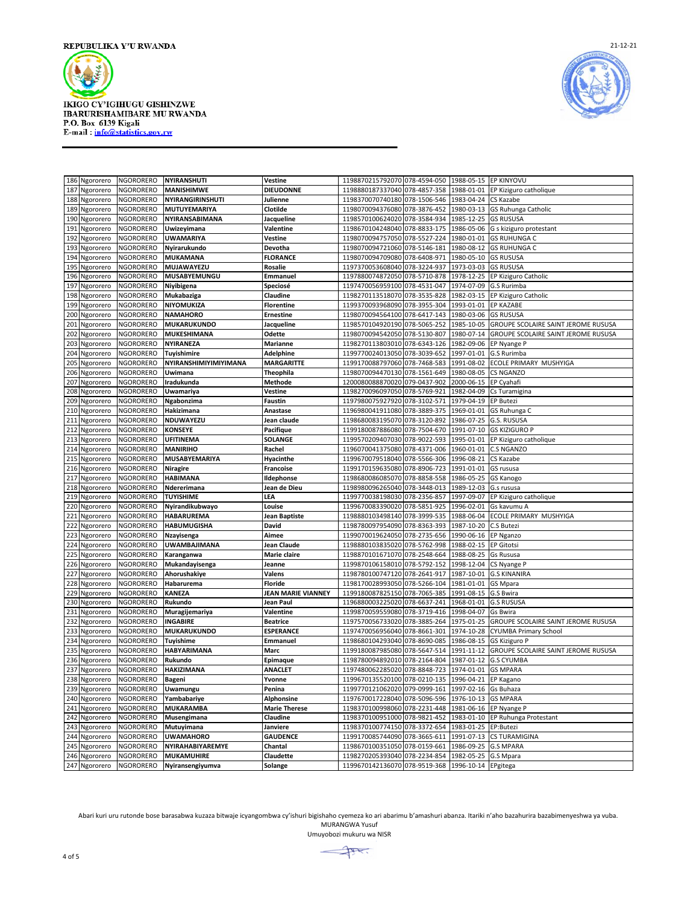



|     | 186 Ngororero | NGORORERO        | <b>NYIRANSHUTI</b>    | Vestine              | 1198870215792070 078-4594-050                     |              | 1988-05-15 EP KINYOVU |                                            |
|-----|---------------|------------------|-----------------------|----------------------|---------------------------------------------------|--------------|-----------------------|--------------------------------------------|
| 187 | Ngororero     | NGORORERO        | <b>MANISHIMWE</b>     | <b>DIEUDONNE</b>     | 1198880187337040 078-4857-358                     |              | 1988-01-01            | EP Kiziguro catholique                     |
| 188 | Ngororero     | <b>NGORORERO</b> | NYIRANGIRINSHUTI      | Julienne             | 1198370070740180 078-1506-546                     |              | 1983-04-24            | <b>CS Kazabe</b>                           |
| 189 | Ngororero     | NGORORERO        | MUTUYEMARIYA          | Clotilde             | 1198070094376080                                  | 078-3876-452 | 1980-03-13            | <b>GS Ruhunga Catholic</b>                 |
|     | 190 Ngororero | NGORORERO        | NYIRANSABIMANA        | Jacqueline           | 1198570100624020 078-3584-934                     |              | 1985-12-25 GS RUSUSA  |                                            |
| 191 | Ngororero     | NGORORERO        | Uwizeyimana           | Valentine            | 1198670104248040                                  | 078-8833-175 | 1986-05-06            | G s kiziguro protestant                    |
| 192 | Ngororero     | NGORORERO        | <b>UWAMARIYA</b>      | Vestine              | 1198070094757050                                  | 078-5527-224 | 1980-01-01            | <b>GS RUHUNGA C</b>                        |
| 193 | Ngororero     | <b>NGORORERO</b> | Nyirarukundo          | Devotha              | 1198070094721060 078-5146-181                     |              | 1980-08-12            | <b>GS RUHUNGA C</b>                        |
| 194 | Ngororero     | <b>NGORORERO</b> | <b>MUKAMANA</b>       | <b>FLORANCE</b>      | 1198070094709080                                  | 078-6408-971 | 1980-05-10            | <b>GS RUSUSA</b>                           |
| 195 | Ngororero     | NGORORERO        | <b>MUJAWAYEZU</b>     | Rosalie              | 1197370053608040 078-3224-937                     |              | 1973-03-03            | <b>GS RUSUSA</b>                           |
| 196 | Ngororero     | NGORORERO        | MUSABYEMUNGU          | Emmanuel             | 1197880074872050                                  | 078-5710-878 | 1978-12-25            | EP Kiziguro Catholic                       |
| 197 | Ngororero     | NGORORERO        | Niyibigena            | Speciosé             | 1197470056959100 078-4531-047                     |              | 1974-07-09            | G.S Rurimba                                |
| 198 | Ngororero     | NGORORERO        | Mukabaziga            | Claudine             | 1198270113518070 078-3535-828                     |              | 1982-03-15            | EP Kiziguro Catholic                       |
| 199 | Ngororero     | NGORORERO        | NIYOMUKIZA            | <b>Florentine</b>    | 1199370093968090 078-3955-304                     |              | 1993-01-01            | <b>EP KAZABE</b>                           |
| 200 | Ngororero     | NGORORERO        | <b>NAMAHORO</b>       | <b>Ernestine</b>     | 1198070094564100 078-6417-143                     |              | 1980-03-06            | <b>GS RUSUSA</b>                           |
| 201 | Ngororero     | NGORORERO        | <b>MUKARUKUNDO</b>    | Jacqueline           | 1198570104920190                                  | 078-5065-252 | 1985-10-05            | GROUPE SCOLAIRE SAINT JEROME RUSUSA        |
| 202 | Ngororero     | NGORORERO        | <b>MUKESHIMANA</b>    | Odette               | 1198070094542050                                  | 078-5130-807 | 1980-07-14            | <b>GROUPE SCOLAIRE SAINT JEROME RUSUSA</b> |
| 203 | Ngororero     | NGORORERO        | NYIRANEZA             | Marianne             | 1198270113803010                                  | 078-6343-126 | 1982-09-06            | EP Nyange P                                |
| 204 | Ngororero     | <b>NGORORERO</b> | <b>Tuyishimire</b>    | <b>Adelphine</b>     | 1199770024013050                                  | 078-3039-652 | 1997-01-01            | G.S Rurimba                                |
| 205 | Ngororero     | <b>NGORORERO</b> | NYIRANSHIMIYIMIYIMANA | <b>MARGARITTE</b>    | 1199170088797060                                  | 078-7468-583 | 1991-08-02            | ECOLE PRIMARY MUSHYIGA                     |
| 206 | Ngororero     | NGORORERO        | Uwimana               | Theophila            | 1198070094470130                                  | 078-1561-649 | 1980-08-05            | <b>CS NGANZO</b>                           |
| 207 | Ngororero     | <b>NGORORERO</b> | Iradukunda            | Methode              | 1200080088870020 079-0437-902                     |              | 2000-06-15            | EP Cyahafi                                 |
| 208 | Ngororero     | NGORORERO        | Uwamariya             | Vestine              | 1198270096097050 078-5769-921                     |              | 1982-04-09            | Cs Turamigina                              |
| 209 | Ngororero     | NGORORERO        | Ngabonzima            | <b>Faustin</b>       | 1197980075927920 078-3102-571                     |              | 1979-04-19            | <b>EP Butezi</b>                           |
| 210 | Ngororero     | NGORORERO        | Hakizimana            | Anastase             | 1196980041911080                                  | 078-3889-375 | 1969-01-01            | GS Ruhunga C                               |
| 211 | Ngororero     | NGORORERO        | NDUWAYEZU             | Jean claude          | 1198680083195070                                  | 078-3120-892 | 1986-07-25            | G.S. RUSUSA                                |
| 212 | Ngororero     | <b>NGORORERO</b> | <b>KONSEYE</b>        | Pacifique            | 1199180087886080 078-7504-670                     |              | 1991-07-10            | <b>GS KIZIGURO P</b>                       |
| 213 | Ngororero     | <b>NGORORERO</b> | UFITINEMA             | <b>SOLANGE</b>       | 1199570209407030                                  | 078-9022-593 | 1995-01-01            | EP Kiziguro catholique                     |
| 214 | Ngororero     | NGORORERO        | <b>MANIRIHO</b>       | Rachel               | 1196070041375080                                  | 078-4371-006 | 1960-01-01            | <b>C.S NGANZO</b>                          |
| 215 | Ngororero     | NGORORERO        | <b>MUSABYEMARIYA</b>  | Hyacinthe            | 1199670079518040                                  | 078-5566-306 | 1996-08-21            | CS Kazabe                                  |
|     | 216 Ngororero | <b>NGORORERO</b> | <b>Niragire</b>       | <b>Francoise</b>     | 1199170159635080                                  | 078-8906-723 | 1991-01-01            | GS rususa                                  |
| 217 | Ngororero     | <b>NGORORERO</b> | <b>HABIMANA</b>       | Ildephonse           | 1198680086085070 078-8858-558                     |              | 1986-05-25            | GS Kanogo                                  |
| 218 | Ngororero     | <b>NGORORERO</b> | Ndererimana           | Jean de Dieu         | 1198980096265040                                  | 078-3448-013 | 1989-12-03            | G.s rususa                                 |
| 219 | Ngororero     | <b>NGORORERO</b> | <b>TUYISHIME</b>      | LEA                  | 1199770038198030 078-2356-857                     |              | 1997-09-07            | EP Kiziguro catholique                     |
| 220 | Ngororero     | NGORORERO        | Nyirandikubwayo       | Louise               | 1199670083390020                                  | 078-5851-925 | 1996-02-01            | Gs kavumu A                                |
| 221 | Ngororero     | NGORORERO        | <b>HABARUREMA</b>     | Jean Baptiste        | 1198880103498140                                  | 078-3999-535 | 1988-06-04            | ECOLE PRIMARY MUSHYIGA                     |
| 222 | Ngororero     | NGORORERO        | <b>HABUMUGISHA</b>    | David                | 1198780097954090 078-8363-393                     |              | 1987-10-20            | C.S Butezi                                 |
| 223 | Ngororero     | <b>NGORORERO</b> | Nzayisenga            | Aimee                | 1199070019624050                                  | 078-2735-656 | 1990-06-16            | <b>EP Nganzo</b>                           |
| 224 | Ngororero     | NGORORERO        | <b>UWAMBAJIMANA</b>   | Jean Claude          | 1198880103835020 078-5762-998                     |              | 1988-02-15            | <b>EP Gitotsi</b>                          |
| 225 | Ngororero     | NGORORERO        | Karanganwa            | Marie claire         | 1198870101671070                                  | 078-2548-664 | 1988-08-25            | <b>Gs Rususa</b>                           |
| 226 | Ngororero     | NGORORERO        | Mukandayisenga        | Jeanne               | 1199870106158010                                  | 078-5792-152 | 1998-12-04            | CS Nyange P                                |
| 227 | Ngororero     | <b>NGORORERO</b> | Ahorushakiye          | Valens               | 1198780100747120 078-2641-917                     |              | 1987-10-01            | <b>G.S KINANIRA</b>                        |
| 228 | Ngororero     | <b>NGORORERO</b> | Habarurema            | <b>Floride</b>       | 1198170028993050                                  | 078-5266-104 | 1981-01-01            | <b>GS Mpara</b>                            |
| 229 | Ngororero     | <b>NGORORERO</b> | <b>KANEZA</b>         | JEAN MARIE VIANNEY   | 1199180087825150                                  | 078-7065-385 | 1991-08-15            | <b>G.S Bwira</b>                           |
| 230 | Ngororero     | NGORORERO        | Rukundo               | Jean Paul            | 1196880003225020                                  | 078-6637-241 | 1968-01-01            | <b>G.S RUSUSA</b>                          |
| 231 | Ngororero     | <b>NGORORERO</b> | Muragijemariya        | Valentine            | 1199870059559080 078-3719-416                     |              | 1998-04-07            | <b>Gs Bwira</b>                            |
| 232 | Ngororero     | NGORORERO        | <b>INGABIRE</b>       | <b>Beatrice</b>      | 1197570056733020                                  | 078-3885-264 | 1975-01-25            | GROUPE SCOLAIRE SAINT JEROME RUSUSA        |
|     | 233 Ngororero | <b>NGORORERO</b> | <b>MUKARUKUNDO</b>    | <b>ESPERANCE</b>     | 1197470056956040                                  | 078-8661-301 | 1974-10-28            | <b>CYUMBA Primary School</b>               |
| 234 | Ngororero     | NGORORERO        | <b>Tuyishime</b>      | Emmanuel             | 1198680104293040                                  | 078-8690-085 | 1986-08-15            | <b>GS Kiziguro P</b>                       |
| 235 | Ngororero     | NGORORERO        | HABYARIMANA           | Marc                 | 1199180087985080                                  | 078-5647-514 | 1991-11-12            | GROUPE SCOLAIRE SAINT JEROME RUSUSA        |
|     | 236 Ngororero | <b>NGORORERO</b> | Rukundo               | Epimaque             | 1198780094892010 078-2164-804                     |              | 1987-01-12            | <b>G.S CYUMBA</b>                          |
| 237 | Ngororero     | <b>NGORORERO</b> | <b>HAKIZIMANA</b>     | <b>ANACLET</b>       | 1197480062285020                                  | 078-8848-723 | 1974-01-01            | <b>GS MPARA</b>                            |
| 238 | Ngororero     | <b>NGORORERO</b> | Bageni                | Yvonne               | 1199670135520100                                  | 078-0210-135 | 1996-04-21            | EP Kagano                                  |
| 239 | Ngororero     | NGORORERO        | Uwamungu              | Penina               | 1199770121062020 079-0999-161                     |              | 1997-02-16            | Gs Buhaza                                  |
| 240 | Ngororero     | NGORORERO        | Yambabariye           | Alphonsine           | 1197670017228040                                  | 078-5096-596 | 1976-10-13            | <b>GS MPARA</b>                            |
| 241 | Ngororero     | <b>NGORORERO</b> | <b>MUKARAMBA</b>      | <b>Marie Therese</b> | 1198370100998060 078-2231-448                     |              | 1981-06-16            | EP Nyange P                                |
| 242 | Ngororero     | NGORORERO        | Musengimana           | Claudine             | 1198370100951000                                  | 078-9821-452 | 1983-01-10            | EP Ruhunga Protestant                      |
|     | 243 Ngororero | NGORORERO        | Mutuyimana            | Janviere             | 1198370100774150 078-3372-654                     |              | 1983-01-25            | EP:Butezi                                  |
| 244 | Ngororero     | NGORORERO        | <b>UWAMAHORO</b>      | <b>GAUDENCE</b>      | 1199170085744090                                  | 078-3665-611 | 1991-07-13            | <b>CS TURAMIGINA</b>                       |
| 245 | Ngororero     | NGORORERO        | NYIRAHABIYAREMYE      | Chantal              | 1198670100351050                                  | 078-0159-661 | 1986-09-25            | <b>G.S MPARA</b>                           |
|     | 246 Ngororero | <b>NGORORERO</b> | <b>MUKAMUHIRE</b>     | Claudette            | 1198270205393040 078-2234-854                     |              | 1982-05-25 G.S Mpara  |                                            |
|     | 247 Ngororero | <b>NGORORERO</b> | Nyiransengiyumva      | Solange              | 1199670142136070 078-9519-368 1996-10-14 EPgitega |              |                       |                                            |

Abari kuri uru rutonde bose barasabwa kuzaza bitwaje icyangombwa cy'ishuri bigishaho cyemeza ko ari abarimu b'amashuri abanza. Itariki n'aho bazahurira bazabimenyeshwa ya vuba. MURANGWA Yusuf